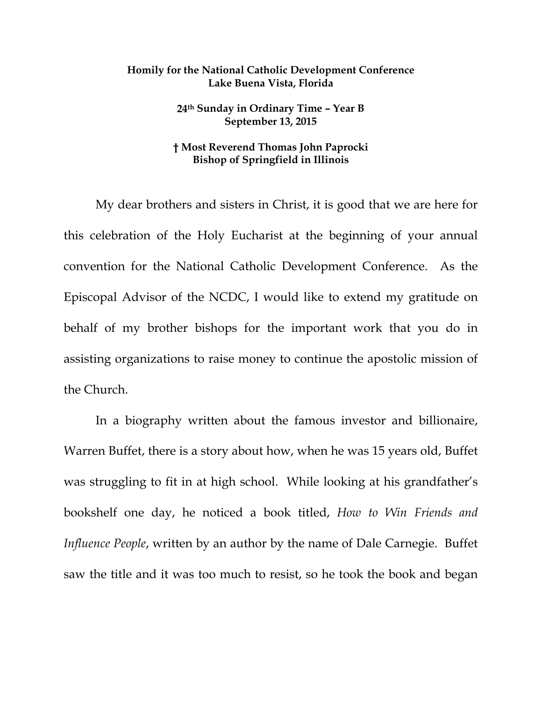## **Homily for the National Catholic Development Conference Lake Buena Vista, Florida**

**24th Sunday in Ordinary Time – Year B September 13, 2015** 

## **† Most Reverend Thomas John Paprocki Bishop of Springfield in Illinois**

 My dear brothers and sisters in Christ, it is good that we are here for this celebration of the Holy Eucharist at the beginning of your annual convention for the National Catholic Development Conference. As the Episcopal Advisor of the NCDC, I would like to extend my gratitude on behalf of my brother bishops for the important work that you do in assisting organizations to raise money to continue the apostolic mission of the Church.

 In a biography written about the famous investor and billionaire, Warren Buffet, there is a story about how, when he was 15 years old, Buffet was struggling to fit in at high school. While looking at his grandfather's bookshelf one day, he noticed a book titled, *How to Win Friends and Influence People*, written by an author by the name of Dale Carnegie. Buffet saw the title and it was too much to resist, so he took the book and began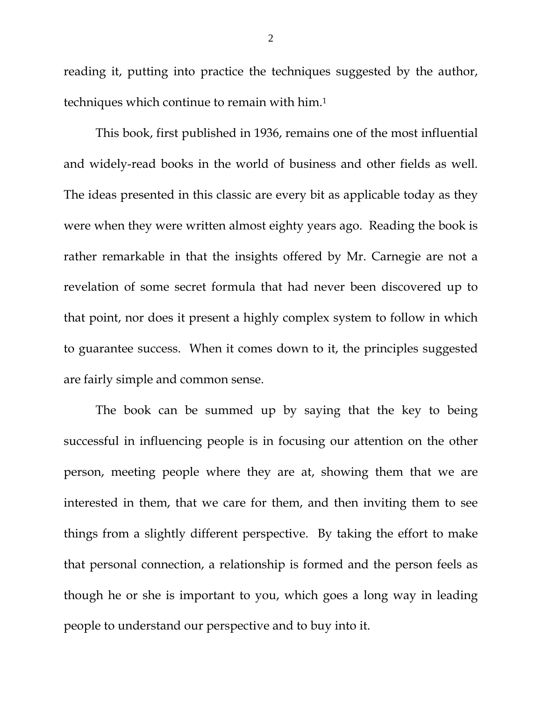reading it, putting into practice the techniques suggested by the author, techniques which continue to remain with him.1

 This book, first published in 1936, remains one of the most influential and widely-read books in the world of business and other fields as well. The ideas presented in this classic are every bit as applicable today as they were when they were written almost eighty years ago. Reading the book is rather remarkable in that the insights offered by Mr. Carnegie are not a revelation of some secret formula that had never been discovered up to that point, nor does it present a highly complex system to follow in which to guarantee success. When it comes down to it, the principles suggested are fairly simple and common sense.

 The book can be summed up by saying that the key to being successful in influencing people is in focusing our attention on the other person, meeting people where they are at, showing them that we are interested in them, that we care for them, and then inviting them to see things from a slightly different perspective. By taking the effort to make that personal connection, a relationship is formed and the person feels as though he or she is important to you, which goes a long way in leading people to understand our perspective and to buy into it.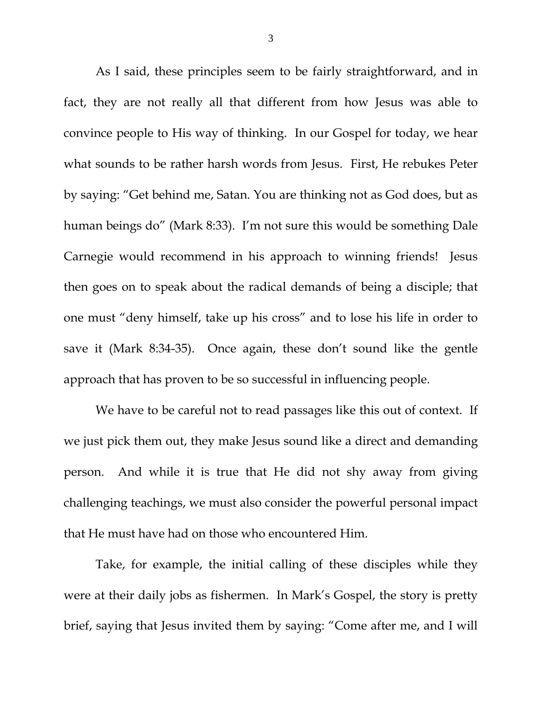As I said, these principles seem to be fairly straightforward, and in fact, they are not really all that different from how Jesus was able to convince people to His way of thinking. In our Gospel for today, we hear what sounds to be rather harsh words from Jesus. First, He rebukes Peter by saying: "Get behind me, Satan. You are thinking not as God does, but as human beings do" (Mark 8:33). I'm not sure this would be something Dale Carnegie would recommend in his approach to winning friends! Jesus then goes on to speak about the radical demands of being a disciple; that one must "deny himself, take up his cross" and to lose his life in order to save it (Mark 8:34-35). Once again, these don't sound like the gentle approach that has proven to be so successful in influencing people.

 We have to be careful not to read passages like this out of context. If we just pick them out, they make Jesus sound like a direct and demanding person. And while it is true that He did not shy away from giving challenging teachings, we must also consider the powerful personal impact that He must have had on those who encountered Him.

 Take, for example, the initial calling of these disciples while they were at their daily jobs as fishermen. In Mark's Gospel, the story is pretty brief, saying that Jesus invited them by saying: "Come after me, and I will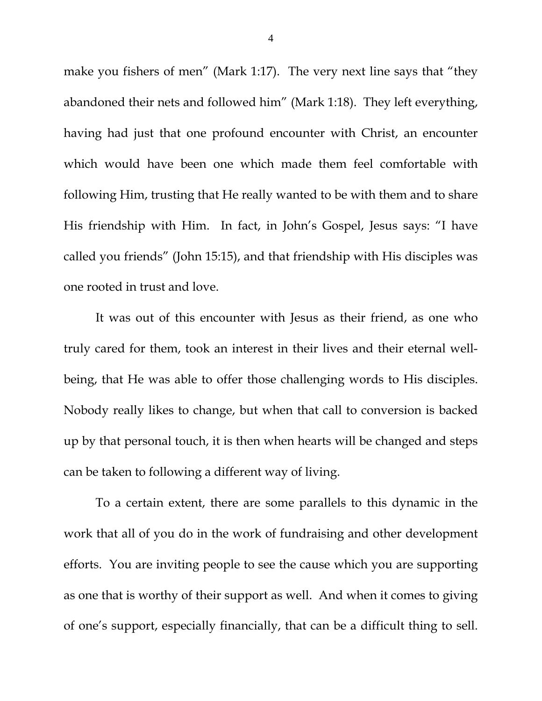make you fishers of men" (Mark 1:17). The very next line says that "they abandoned their nets and followed him" (Mark 1:18). They left everything, having had just that one profound encounter with Christ, an encounter which would have been one which made them feel comfortable with following Him, trusting that He really wanted to be with them and to share His friendship with Him. In fact, in John's Gospel, Jesus says: "I have called you friends" (John 15:15), and that friendship with His disciples was one rooted in trust and love.

 It was out of this encounter with Jesus as their friend, as one who truly cared for them, took an interest in their lives and their eternal wellbeing, that He was able to offer those challenging words to His disciples. Nobody really likes to change, but when that call to conversion is backed up by that personal touch, it is then when hearts will be changed and steps can be taken to following a different way of living.

 To a certain extent, there are some parallels to this dynamic in the work that all of you do in the work of fundraising and other development efforts. You are inviting people to see the cause which you are supporting as one that is worthy of their support as well. And when it comes to giving of one's support, especially financially, that can be a difficult thing to sell.

4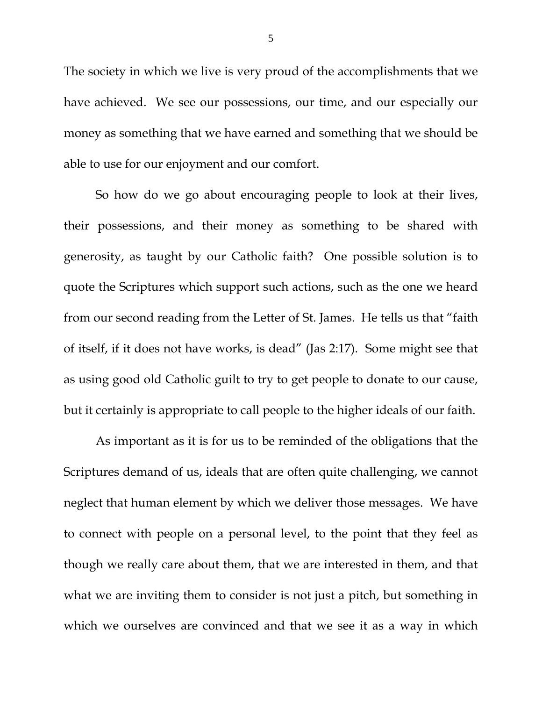The society in which we live is very proud of the accomplishments that we have achieved. We see our possessions, our time, and our especially our money as something that we have earned and something that we should be able to use for our enjoyment and our comfort.

 So how do we go about encouraging people to look at their lives, their possessions, and their money as something to be shared with generosity, as taught by our Catholic faith? One possible solution is to quote the Scriptures which support such actions, such as the one we heard from our second reading from the Letter of St. James. He tells us that "faith of itself, if it does not have works, is dead" (Jas 2:17). Some might see that as using good old Catholic guilt to try to get people to donate to our cause, but it certainly is appropriate to call people to the higher ideals of our faith.

 As important as it is for us to be reminded of the obligations that the Scriptures demand of us, ideals that are often quite challenging, we cannot neglect that human element by which we deliver those messages. We have to connect with people on a personal level, to the point that they feel as though we really care about them, that we are interested in them, and that what we are inviting them to consider is not just a pitch, but something in which we ourselves are convinced and that we see it as a way in which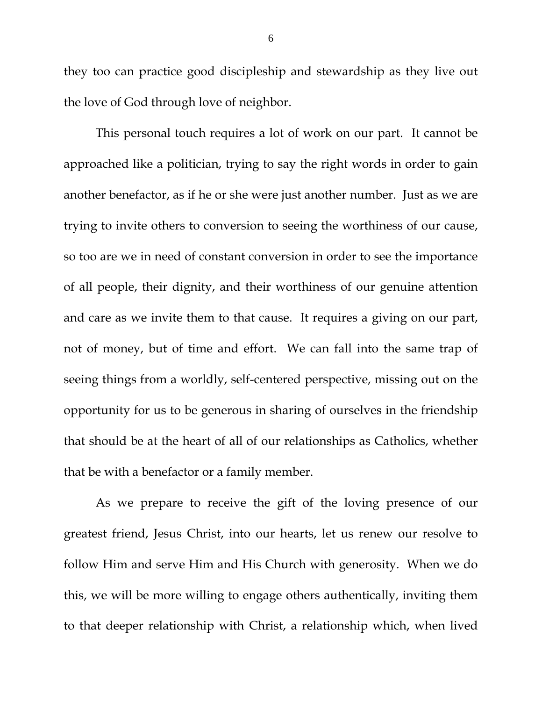they too can practice good discipleship and stewardship as they live out the love of God through love of neighbor.

 This personal touch requires a lot of work on our part. It cannot be approached like a politician, trying to say the right words in order to gain another benefactor, as if he or she were just another number. Just as we are trying to invite others to conversion to seeing the worthiness of our cause, so too are we in need of constant conversion in order to see the importance of all people, their dignity, and their worthiness of our genuine attention and care as we invite them to that cause. It requires a giving on our part, not of money, but of time and effort. We can fall into the same trap of seeing things from a worldly, self-centered perspective, missing out on the opportunity for us to be generous in sharing of ourselves in the friendship that should be at the heart of all of our relationships as Catholics, whether that be with a benefactor or a family member.

 As we prepare to receive the gift of the loving presence of our greatest friend, Jesus Christ, into our hearts, let us renew our resolve to follow Him and serve Him and His Church with generosity. When we do this, we will be more willing to engage others authentically, inviting them to that deeper relationship with Christ, a relationship which, when lived